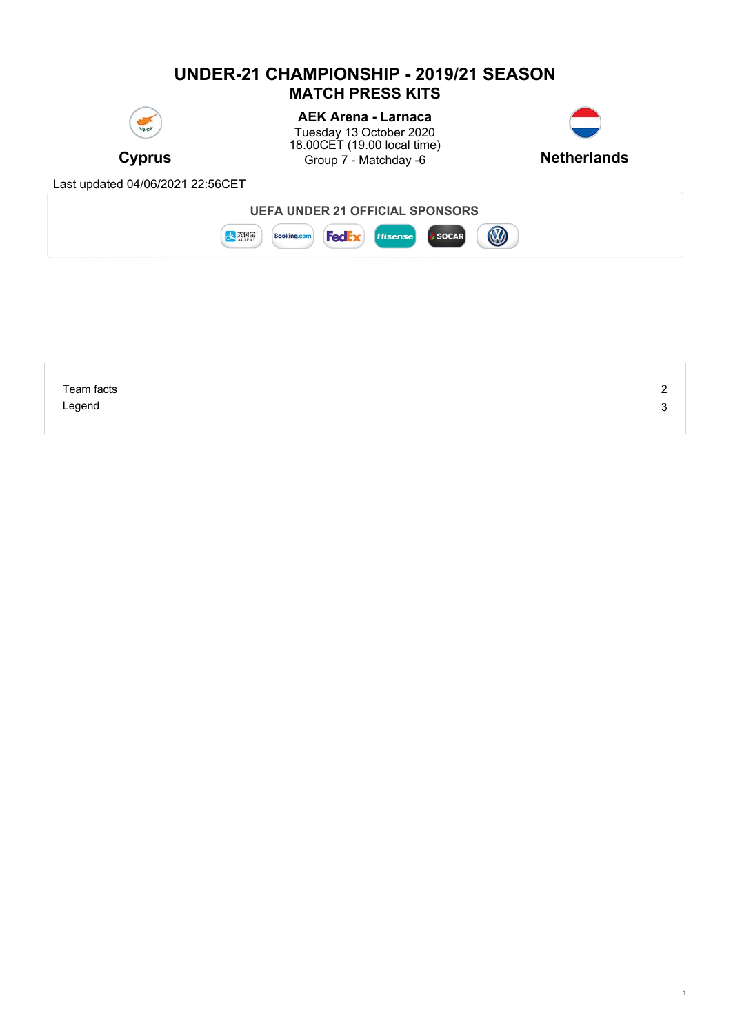# **UNDER-21 CHAMPIONSHIP - 2019/21 SEASON MATCH PRESS KITS**



**Cyprus Character Cyprus** Group 7 - Matchday -6 **Netherlands AEK Arena - Larnaca** Tuesday 13 October 2020 18.00CET (19.00 local time)



1



| Team facts | - |
|------------|---|
| Legend     | w |
|            |   |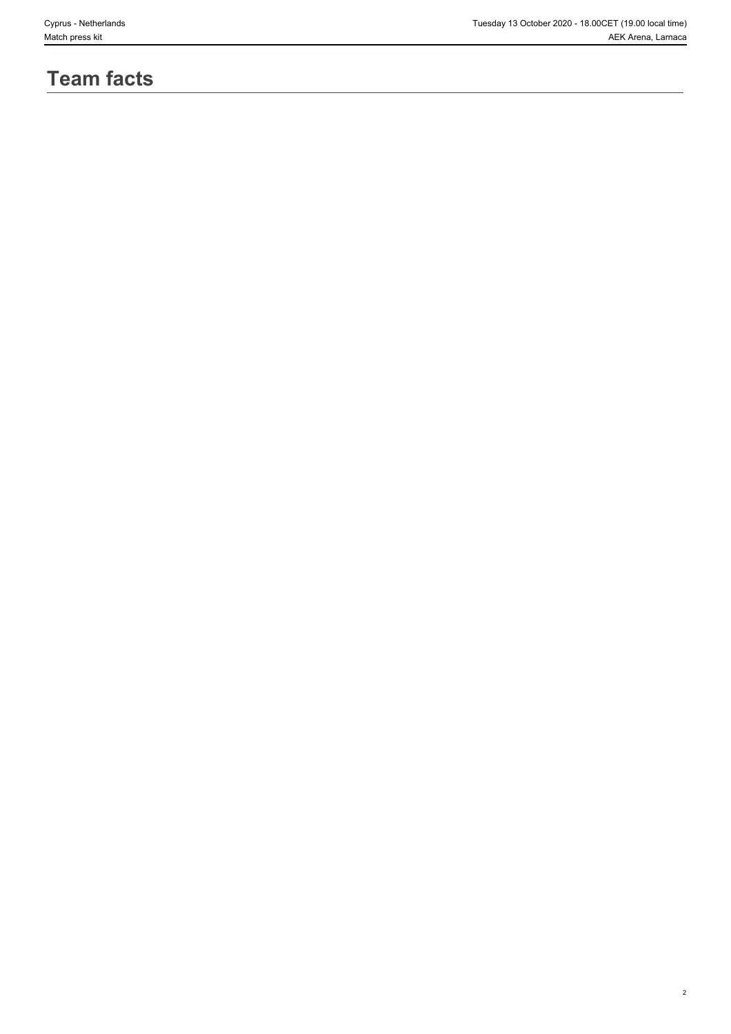2

# **Team facts**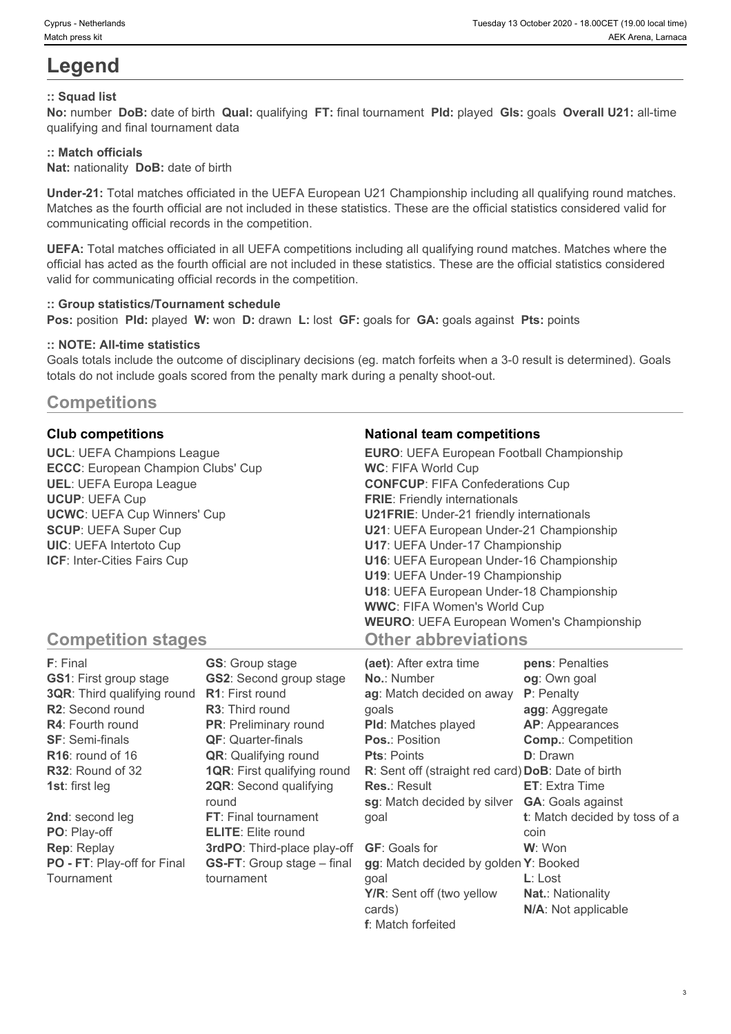# **Legend**

## **:: Squad list**

**No:** number **DoB:** date of birth **Qual:** qualifying **FT:** final tournament **Pld:** played **Gls:** goals **Overall U21:** all-time qualifying and final tournament data

### **:: Match officials**

**Nat:** nationality **DoB:** date of birth

**Under-21:** Total matches officiated in the UEFA European U21 Championship including all qualifying round matches. Matches as the fourth official are not included in these statistics. These are the official statistics considered valid for communicating official records in the competition.

**UEFA:** Total matches officiated in all UEFA competitions including all qualifying round matches. Matches where the official has acted as the fourth official are not included in these statistics. These are the official statistics considered valid for communicating official records in the competition.

#### **:: Group statistics/Tournament schedule**

**Pos:** position **Pld:** played **W:** won **D:** drawn **L:** lost **GF:** goals for **GA:** goals against **Pts:** points

#### **:: NOTE: All-time statistics**

Goals totals include the outcome of disciplinary decisions (eg. match forfeits when a 3-0 result is determined). Goals totals do not include goals scored from the penalty mark during a penalty shoot-out.

## **Competitions**

**UCL**: UEFA Champions League **ECCC**: European Champion Clubs' Cup **UEL**: UEFA Europa League **UCUP**: UEFA Cup **UCWC**: UEFA Cup Winners' Cup **SCUP**: UEFA Super Cup **UIC**: UEFA Intertoto Cup **ICF**: Inter-Cities Fairs Cup

#### **Club competitions National team competitions**

| <b>EURO:</b> UEFA European Football Championship |  |
|--------------------------------------------------|--|
| <b>WC: FIFA World Cup</b>                        |  |
| <b>CONFCUP: FIFA Confederations Cup</b>          |  |
| <b>FRIE:</b> Friendly internationals             |  |
| <b>U21FRIE:</b> Under-21 friendly internationals |  |
| U21: UEFA European Under-21 Championship         |  |
| U17: UEFA Under-17 Championship                  |  |
| U16: UEFA European Under-16 Championship         |  |
| U19: UEFA Under-19 Championship                  |  |
| U18: UEFA European Under-18 Championship         |  |
| <b>WWC: FIFA Women's World Cup</b>               |  |
| <b>WEURO: UEFA European Women's Championship</b> |  |
| <b>Other abbreviations</b>                       |  |

## **Competition stages**

| F: Final                           | <b>GS:</b> Group stage             | (aet): After extra time                            | pens: Penalties               |
|------------------------------------|------------------------------------|----------------------------------------------------|-------------------------------|
| <b>GS1: First group stage</b>      | <b>GS2:</b> Second group stage     | <b>No.: Number</b>                                 | og: Own goal                  |
| <b>3QR:</b> Third qualifying round | <b>R1:</b> First round             | ag: Match decided on away                          | P: Penalty                    |
| <b>R2:</b> Second round            | <b>R3:</b> Third round             | qoals                                              | agg: Aggregate                |
| <b>R4:</b> Fourth round            | <b>PR:</b> Preliminary round       | <b>PId:</b> Matches played                         | <b>AP:</b> Appearances        |
| <b>SF: Semi-finals</b>             | <b>QF:</b> Quarter-finals          | <b>Pos.: Position</b>                              | <b>Comp.: Competition</b>     |
| $R16$ : round of 16                | <b>QR:</b> Qualifying round        | <b>Pts: Points</b>                                 | <b>D</b> : Drawn              |
| R32: Round of 32                   | <b>1QR:</b> First qualifying round | R: Sent off (straight red card) DoB: Date of birth |                               |
| <b>1st:</b> first leg              | <b>2QR:</b> Second qualifying      | <b>Res.: Result</b>                                | <b>ET:</b> Extra Time         |
|                                    | round                              | sg: Match decided by silver                        | <b>GA: Goals against</b>      |
| 2nd: second leg                    | <b>FT:</b> Final tournament        | qoal                                               | t: Match decided by toss of a |
| PO: Play-off                       | <b>ELITE:</b> Elite round          |                                                    | coin                          |
| <b>Rep: Replay</b>                 | 3rdPO: Third-place play-off        | <b>GF:</b> Goals for                               | W: Won                        |
| PO - FT: Play-off for Final        | <b>GS-FT:</b> Group stage – final  | gg: Match decided by golden Y: Booked              |                               |
| Tournament                         | tournament                         | qoal                                               | $L:$ Lost                     |
|                                    |                                    | Y/R: Sent off (two yellow                          | <b>Nat.: Nationality</b>      |
|                                    |                                    | cards)                                             | N/A: Not applicable           |

**f**: Match forfeited